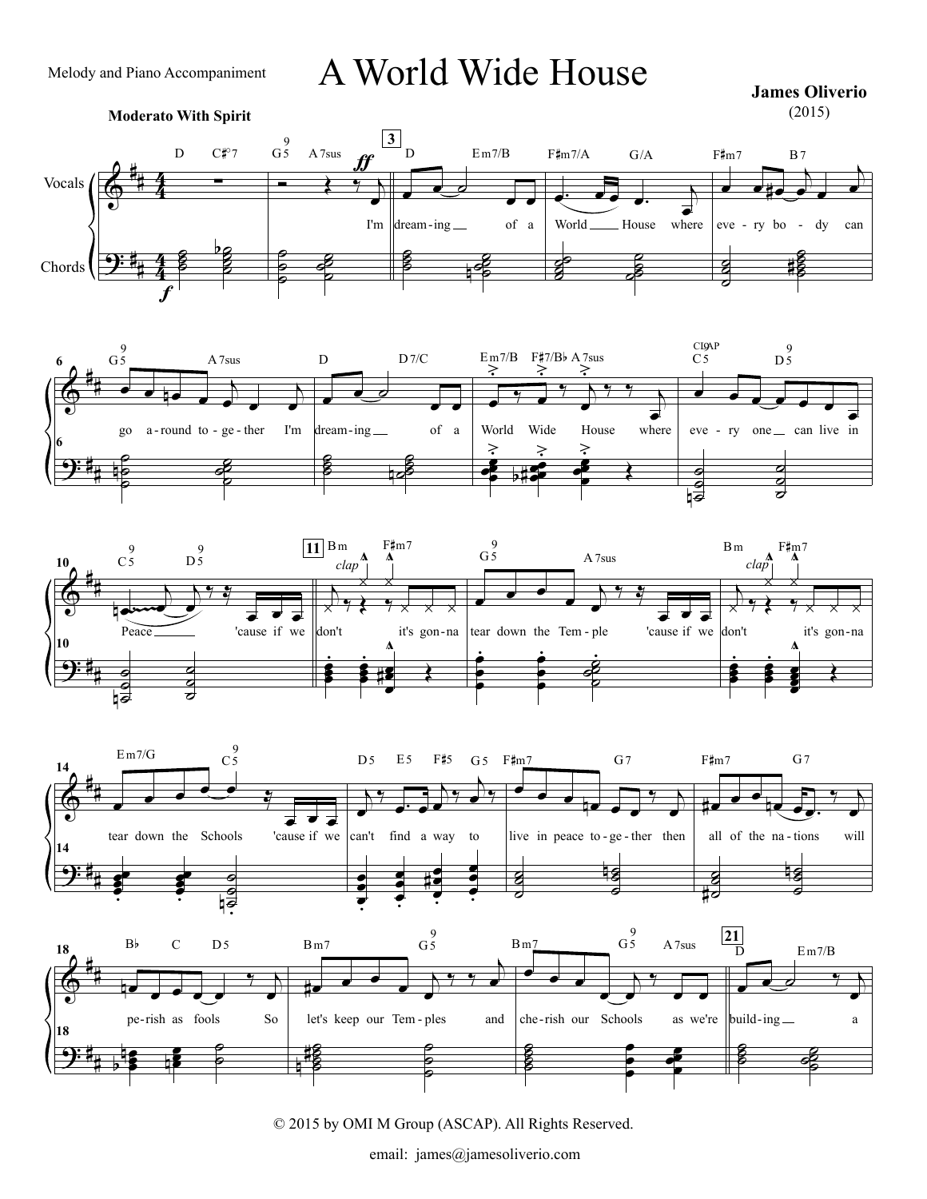A World Wide House

**James Oliverio** (2015)

## **Moderato With Spirit**











© 2015 by OMI M Group (ASCAP). All Rights Reserved.

email: james@jamesoliverio.com